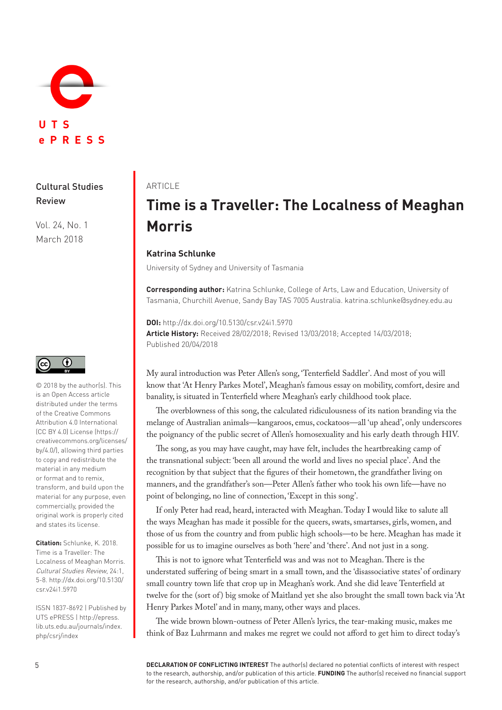

### Cultural Studies Review

Vol. 24, No. 1 March 2018



© 2018 by the author(s). This is an Open Access article distributed under the terms of the Creative Commons Attribution 4.0 International (CC BY 4.0) License ([https://](https://creativecommons.org/licenses/by/4.0/) [creativecommons.org/licenses/](https://creativecommons.org/licenses/by/4.0/) [by/4.0/](https://creativecommons.org/licenses/by/4.0/)), allowing third parties to copy and redistribute the material in any medium or format and to remix, transform, and build upon the material for any purpose, even commercially, provided the original work is properly cited and states its license.

**Citation:** Schlunke, K. 2018. Time is a Traveller: The Localness of Meaghan Morris. Cultural Studies Review, 24:1, 5-8. [http://dx.doi.org/10.5130/](http://dx.doi.org/10.5130/csr.v24i1.5970) [csr.v24i1.5970](http://dx.doi.org/10.5130/csr.v24i1.5970)

ISSN 1837-8692 | Published by UTS ePRESS | [http://epress.](http://epress.lib.uts.edu.au/journals/index.php/csrj/index) [lib.uts.edu.au/journals/index.](http://epress.lib.uts.edu.au/journals/index.php/csrj/index) [php/csrj/index](http://epress.lib.uts.edu.au/journals/index.php/csrj/index)

### **ARTICLE**

# **Time is a Traveller: The Localness of Meaghan Morris**

#### **Katrina Schlunke**

University of Sydney and University of Tasmania

**Corresponding author:** Katrina Schlunke, College of Arts, Law and Education, University of Tasmania, Churchill Avenue, Sandy Bay TAS 7005 Australia. [katrina.schlunke@sydney.edu.au](mailto:katrina.schlunke@sydney.edu.au)

**DOI:** <http://dx.doi.org/10.5130/csr.v24i1.5970> **Article History:** Received 28/02/2018; Revised 13/03/2018; Accepted 14/03/2018; Published 20/04/2018

My aural introduction was Peter Allen's song, 'Tenterfield Saddler'. And most of you will know that 'At Henry Parkes Motel', Meaghan's famous essay on mobility, comfort, desire and banality, is situated in Tenterfield where Meaghan's early childhood took place.

The overblowness of this song, the calculated ridiculousness of its nation branding via the melange of Australian animals—kangaroos, emus, cockatoos—all 'up ahead', only underscores the poignancy of the public secret of Allen's homosexuality and his early death through HIV.

The song, as you may have caught, may have felt, includes the heartbreaking camp of the transnational subject: 'been all around the world and lives no special place'. And the recognition by that subject that the figures of their hometown, the grandfather living on manners, and the grandfather's son—Peter Allen's father who took his own life—have no point of belonging, no line of connection, 'Except in this song'.

If only Peter had read, heard, interacted with Meaghan. Today I would like to salute all the ways Meaghan has made it possible for the queers, swats, smartarses, girls, women, and those of us from the country and from public high schools—to be here. Meaghan has made it possible for us to imagine ourselves as both 'here' and 'there'. And not just in a song.

This is not to ignore what Tenterfield was and was not to Meaghan. There is the understated suffering of being smart in a small town, and the 'disassociative states' of ordinary small country town life that crop up in Meaghan's work. And she did leave Tenterfield at twelve for the (sort of ) big smoke of Maitland yet she also brought the small town back via 'At Henry Parkes Motel' and in many, many, other ways and places.

The wide brown blown-outness of Peter Allen's lyrics, the tear-making music, makes me think of Baz Luhrmann and makes me regret we could not afford to get him to direct today's

**DECLARATION OF CONFLICTING INTEREST** The author(s) declared no potential conflicts of interest with respect to the research, authorship, and/or publication of this article. **FUNDING** The author(s) received no financial support for the research, authorship, and/or publication of this article.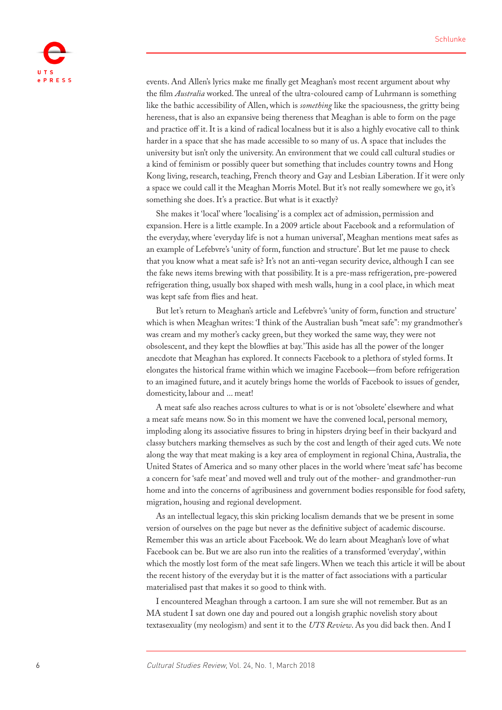

events. And Allen's lyrics make me finally get Meaghan's most recent argument about why the film *Australia* worked. The unreal of the ultra-coloured camp of Luhrmann is something like the bathic accessibility of Allen, which is *something* like the spaciousness, the gritty being hereness, that is also an expansive being thereness that Meaghan is able to form on the page and practice off it. It is a kind of radical localness but it is also a highly evocative call to think harder in a space that she has made accessible to so many of us. A space that includes the university but isn't only the university. An environment that we could call cultural studies or a kind of feminism or possibly queer but something that includes country towns and Hong Kong living, research, teaching, French theory and Gay and Lesbian Liberation. If it were only a space we could call it the Meaghan Morris Motel. But it's not really somewhere we go, it's something she does. It's a practice. But what is it exactly?

She makes it 'local' where 'localising' is a complex act of admission, permission and expansion. Here is a little example. In a 2009 article about Facebook and a reformulation of the everyday, where 'everyday life is not a human universal', Meaghan mentions meat safes as an example of Lefebvre's 'unity of form, function and structure'. But let me pause to check that you know what a meat safe is? It's not an anti-vegan security device, although I can see the fake news items brewing with that possibility. It is a pre-mass refrigeration, pre-powered refrigeration thing, usually box shaped with mesh walls, hung in a cool place, in which meat was kept safe from flies and heat.

But let's return to Meaghan's article and Lefebvre's 'unity of form, function and structure' which is when Meaghan writes: 'I think of the Australian bush "meat safe": my grandmother's was cream and my mother's cacky green, but they worked the same way, they were not obsolescent, and they kept the blowflies at bay.' This aside has all the power of the longer anecdote that Meaghan has explored. It connects Facebook to a plethora of styled forms. It elongates the historical frame within which we imagine Facebook—from before refrigeration to an imagined future, and it acutely brings home the worlds of Facebook to issues of gender, domesticity, labour and ... meat!

A meat safe also reaches across cultures to what is or is not 'obsolete' elsewhere and what a meat safe means now. So in this moment we have the convened local, personal memory, imploding along its associative fissures to bring in hipsters drying beef in their backyard and classy butchers marking themselves as such by the cost and length of their aged cuts. We note along the way that meat making is a key area of employment in regional China, Australia, the United States of America and so many other places in the world where 'meat safe' has become a concern for 'safe meat' and moved well and truly out of the mother- and grandmother-run home and into the concerns of agribusiness and government bodies responsible for food safety, migration, housing and regional development.

As an intellectual legacy, this skin pricking localism demands that we be present in some version of ourselves on the page but never as the definitive subject of academic discourse. Remember this was an article about Facebook. We do learn about Meaghan's love of what Facebook can be. But we are also run into the realities of a transformed 'everyday', within which the mostly lost form of the meat safe lingers. When we teach this article it will be about the recent history of the everyday but it is the matter of fact associations with a particular materialised past that makes it so good to think with.

I encountered Meaghan through a cartoon. I am sure she will not remember. But as an MA student I sat down one day and poured out a longish graphic novelish story about textasexuality (my neologism) and sent it to the *UTS Review*. As you did back then. And I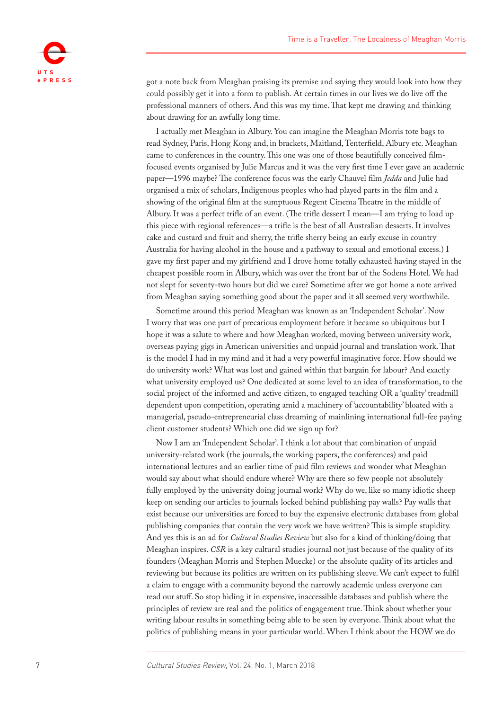

got a note back from Meaghan praising its premise and saying they would look into how they could possibly get it into a form to publish. At certain times in our lives we do live off the professional manners of others. And this was my time. That kept me drawing and thinking about drawing for an awfully long time.

I actually met Meaghan in Albury. You can imagine the Meaghan Morris tote bags to read Sydney, Paris, Hong Kong and, in brackets, Maitland, Tenterfield, Albury etc. Meaghan came to conferences in the country. This one was one of those beautifully conceived filmfocused events organised by Julie Marcus and it was the very first time I ever gave an academic paper—1996 maybe? The conference focus was the early Chauvel film *Jedda* and Julie had organised a mix of scholars, Indigenous peoples who had played parts in the film and a showing of the original film at the sumptuous Regent Cinema Theatre in the middle of Albury. It was a perfect trifle of an event. (The trifle dessert I mean—I am trying to load up this piece with regional references—a trifle is the best of all Australian desserts. It involves cake and custard and fruit and sherry, the trifle sherry being an early excuse in country Australia for having alcohol in the house and a pathway to sexual and emotional excess.) I gave my first paper and my girlfriend and I drove home totally exhausted having stayed in the cheapest possible room in Albury, which was over the front bar of the Sodens Hotel. We had not slept for seventy-two hours but did we care? Sometime after we got home a note arrived from Meaghan saying something good about the paper and it all seemed very worthwhile.

Sometime around this period Meaghan was known as an 'Independent Scholar'. Now I worry that was one part of precarious employment before it became so ubiquitous but I hope it was a salute to where and how Meaghan worked, moving between university work, overseas paying gigs in American universities and unpaid journal and translation work. That is the model I had in my mind and it had a very powerful imaginative force. How should we do university work? What was lost and gained within that bargain for labour? And exactly what university employed us? One dedicated at some level to an idea of transformation, to the social project of the informed and active citizen, to engaged teaching OR a 'quality' treadmill dependent upon competition, operating amid a machinery of 'accountability' bloated with a managerial, pseudo-entrepreneurial class dreaming of mainlining international full-fee paying client customer students? Which one did we sign up for?

Now I am an 'Independent Scholar'. I think a lot about that combination of unpaid university-related work (the journals, the working papers, the conferences) and paid international lectures and an earlier time of paid film reviews and wonder what Meaghan would say about what should endure where? Why are there so few people not absolutely fully employed by the university doing journal work? Why do we, like so many idiotic sheep keep on sending our articles to journals locked behind publishing pay walls? Pay walls that exist because our universities are forced to buy the expensive electronic databases from global publishing companies that contain the very work we have written? This is simple stupidity. And yes this is an ad for *Cultural Studies Review* but also for a kind of thinking/doing that Meaghan inspires. *CSR* is a key cultural studies journal not just because of the quality of its founders (Meaghan Morris and Stephen Muecke) or the absolute quality of its articles and reviewing but because its politics are written on its publishing sleeve. We can't expect to fulfil a claim to engage with a community beyond the narrowly academic unless everyone can read our stuff. So stop hiding it in expensive, inaccessible databases and publish where the principles of review are real and the politics of engagement true. Think about whether your writing labour results in something being able to be seen by everyone. Think about what the politics of publishing means in your particular world. When I think about the HOW we do